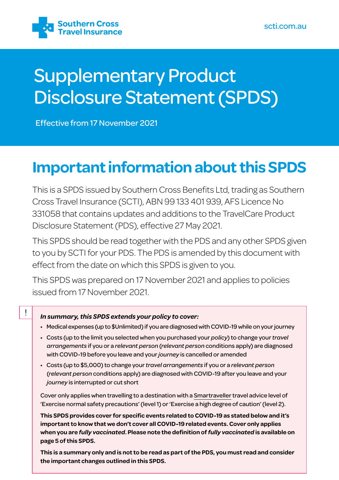

# Supplementary Product Disclosure Statement (SPDS)

Effective from 17 November 2021

## **Important information about this SPDS**

This is a SPDS issued by Southern Cross Benefits Ltd, trading as Southern Cross Travel Insurance (SCTI), ABN 99 133 401 939, AFS Licence No 331058 that contains updates and additions to the TravelCare Product Disclosure Statement (PDS), effective 27 May 2021.

This SPDS should be read together with the PDS and any other SPDS given to you by SCTI for your PDS. The PDS is amended by this document with effect from the date on which this SPDS is given to you.

This SPDS was prepared on 17 November 2021 and applies to policies issued from 17 November 2021.

## *In summary, this SPDS extends your policy to cover:*

 $\mathbf{I}$ 

- Medical expenses (up to \$Unlimited) if you are diagnosed with COVID-19 while on your journey
- Costs (up to the limit you selected when you purchased your *policy*) to change your *travel arrangements* if you or a *relevant person* (*relevant person* conditions apply) are diagnosed with COVID-19 before you leave and your *journey* is cancelled or amended
- Costs (up to \$5,000) to change your *travel arrangements* if you or a *relevant person* (*relevant person* conditions apply) are diagnosed with COVID-19 after you leave and your *journey* is interrupted or cut short

Cover only applies when travelling to a destination with a [Smartraveller](https://www.smartraveller.gov.au/) travel advice level of 'Exercise normal safety precautions' (level 1) or 'Exercise a high degree of caution' (level 2).

**This SPDS provides cover for specific events related to COVID-19 as stated below and it's important to know that we don't cover all COVID-19 related events. Cover only applies when you are** *fully vaccinated***. Please note the definition of** *fully vaccinated* **is available on page 5 of this SPDS.**

**This is a summary only and is not to be read as part of the PDS, you must read and consider the important changes outlined in this SPDS.**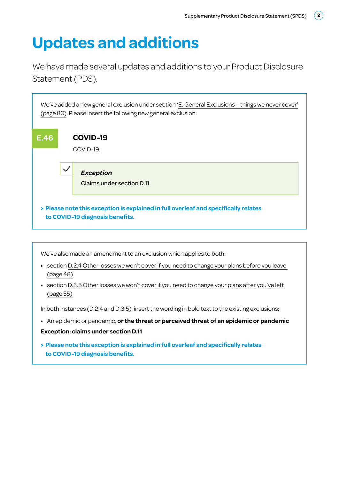## **Updates and additions**

We have made several updates and additions to your Product Disclosure Statement (PDS).



We've also made an amendment to an exclusion which applies to both:

- **•** section D.2.4 Other losses we won't cover if you need to change your plans before you leave (page 48)
- **•** section D.3.5 Other losses we won't cover if you need to change your plans after you've left (page 55)

In both instances (D.2.4 and D.3.5), insert the wording in bold text to the existing exclusions:

**•** An epidemic or pandemic, **or the threat or perceived threat of an epidemic or pandemic**

### **Exception: claims under section D.11**

**> Please note this exception is explained in full overleaf and specifically relates to COVID-19 diagnosis benefits.**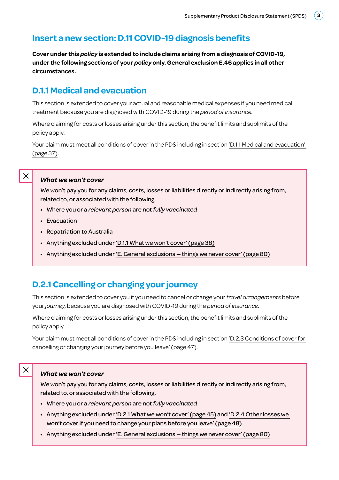## **Insert a new section: D.11 COVID-19 diagnosis benefits**

**Cover under this** *policy* **is extended to include claims arising from a diagnosis of COVID-19, under the following sections of your** *policy* **only. General exclusion E.46 applies in all other circumstances.** 

## **D.1.1 Medical and evacuation**

This section is extended to cover your actual and reasonable medical expenses if you need medical treatment because you are diagnosed with COVID-19 during the *period of insurance*.

Where claiming for costs or losses arising under this section, the benefit limits and sublimits of the policy apply.

Your claim must meet all conditions of cover in the PDS including in section 'D.1.1 Medical and evacuation' (page 37).

## $\times$

X

#### *What we won't cover*

We won't pay you for any claims, costs, losses or liabilities directly or indirectly arising from, related to, or associated with the following.

- Where you or a *relevant person* are not *fully vaccinated*
- Evacuation
- Repatriation to Australia
- Anything excluded under 'D.1.1 What we won't cover' (page 38)
- Anything excluded under 'E. General exclusions things we never cover' (page 80)

## **D.2.1 Cancelling or changing your journey**

This section is extended to cover you if you need to cancel or change your *travel arrangements* before your *journey*, because you are diagnosed with COVID-19 during the *period of insurance*.

Where claiming for costs or losses arising under this section, the benefit limits and sublimits of the policy apply.

Your claim must meet all conditions of cover in the PDS including in section 'D.2.3 Conditions of cover for cancelling or changing your journey before you leave' (page 47).

#### *What we won't cover*

We won't pay you for any claims, costs, losses or liabilities directly or indirectly arising from, related to, or associated with the following.

- Where you or a *relevant person* are not *fully vaccinated*
- Anything excluded under 'D.2.1 What we won't cover' (page 45) and 'D.2.4 Other losses we won't cover if you need to change your plans before you leave' (page 48)
- Anything excluded under 'E. General exclusions things we never cover' (page 80)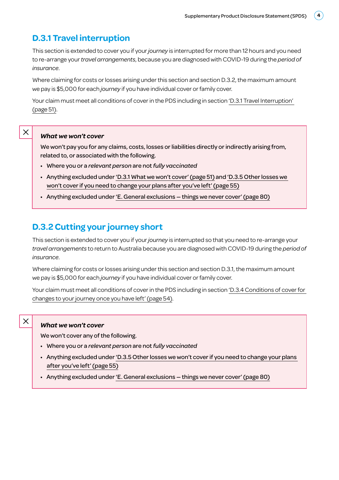## **D.3.1 Travel interruption**

This section is extended to cover you if your *journey* is interrupted for more than 12 hours and you need to re-arrange your *travel arrangements*, because you are diagnosed with COVID-19 during the *period of insurance*.

Where claiming for costs or losses arising under this section and section D.3.2, the maximum amount we pay is \$5,000 for each *journey* if you have individual cover or family cover.

Your claim must meet all conditions of cover in the PDS including in section 'D.3.1 Travel Interruption' (page 51).

#### *What we won't cover*

 $\times$ 

We won't pay you for any claims, costs, losses or liabilities directly or indirectly arising from, related to, or associated with the following.

- Where you or a *relevant person* are not *fully vaccinated*
- Anything excluded under 'D.3.1 What we won't cover' (page 51) and 'D.3.5 Other losses we won't cover if you need to change your plans after you've left' (page 55)
- Anything excluded under 'E. General exclusions things we never cover' (page 80)

## **D.3.2 Cutting your journey short**

This section is extended to cover you if your *journey* is interrupted so that you need to re-arrange your *travel arrangements* to return to Australia because you are diagnosed with COVID-19 during the *period of insurance*.

Where claiming for costs or losses arising under this section and section D.3.1, the maximum amount we pay is \$5,000 for each *journey* if you have individual cover or family cover.

Your claim must meet all conditions of cover in the PDS including in section 'D.3.4 Conditions of cover for changes to your journey once you have left' (page 54).

#### *What we won't cover*

 $\times$ 

We won't cover any of the following.

- Where you or a *relevant person* are not *fully vaccinated*
- Anything excluded under 'D.3.5 Other losses we won't cover if you need to change your plans after you've left' (page 55)
- Anything excluded under 'E. General exclusions things we never cover' (page 80)